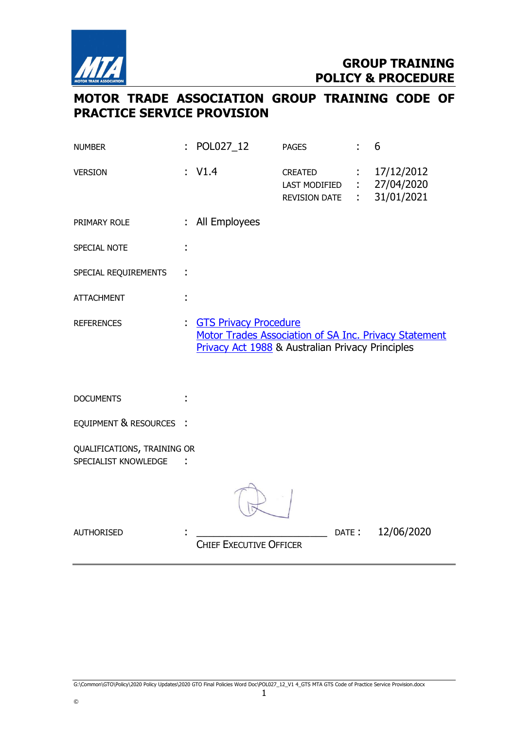

# MOTOR TRADE ASSOCIATION GROUP TRAINING CODE OF PRACTICE SERVICE PROVISION

| <b>NUMBER</b>                                       |    | POL027_12                                                                                                                                 | <b>PAGES</b>                                            |       | 6                                      |
|-----------------------------------------------------|----|-------------------------------------------------------------------------------------------------------------------------------------------|---------------------------------------------------------|-------|----------------------------------------|
| <b>VERSION</b>                                      |    | V1.4                                                                                                                                      | <b>CREATED</b><br>LAST MODIFIED<br><b>REVISION DATE</b> |       | 17/12/2012<br>27/04/2020<br>31/01/2021 |
| PRIMARY ROLE                                        | ÷. | All Employees                                                                                                                             |                                                         |       |                                        |
| SPECIAL NOTE                                        |    |                                                                                                                                           |                                                         |       |                                        |
| SPECIAL REQUIREMENTS                                |    |                                                                                                                                           |                                                         |       |                                        |
| <b>ATTACHMENT</b>                                   | t  |                                                                                                                                           |                                                         |       |                                        |
| <b>REFERENCES</b>                                   |    | <b>GTS Privacy Procedure</b><br>Motor Trades Association of SA Inc. Privacy Statement<br>Privacy Act 1988 & Australian Privacy Principles |                                                         |       |                                        |
| <b>DOCUMENTS</b>                                    |    |                                                                                                                                           |                                                         |       |                                        |
| EQUIPMENT & RESOURCES :                             |    |                                                                                                                                           |                                                         |       |                                        |
| QUALIFICATIONS, TRAINING OR<br>SPECIALIST KNOWLEDGE |    |                                                                                                                                           |                                                         |       |                                        |
|                                                     |    |                                                                                                                                           |                                                         |       |                                        |
| <b>AUTHORISED</b>                                   |    | <b>CHIEF EXECUTIVE OFFICER</b>                                                                                                            |                                                         | DATE: | 12/06/2020                             |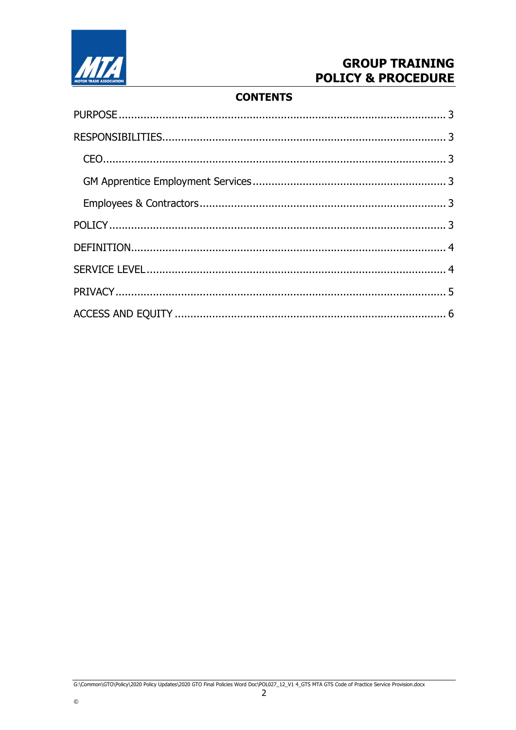

 $\odot$ 

## **GROUP TRAINING POLICY & PROCEDURE**

## **CONTENTS**

 $\overline{2}$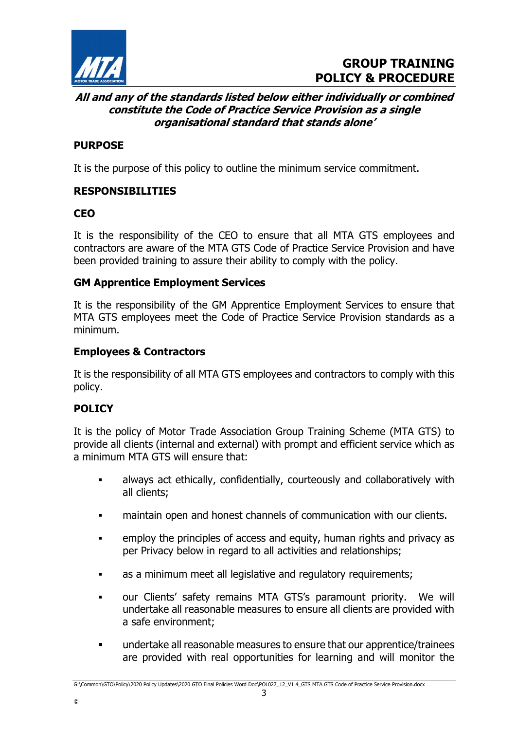

#### All and any of the standards listed below either individually or combined constitute the Code of Practice Service Provision as a single organisational standard that stands alone'

## PURPOSE

It is the purpose of this policy to outline the minimum service commitment.

## RESPONSIBILITIES

## **CEO**

It is the responsibility of the CEO to ensure that all MTA GTS employees and contractors are aware of the MTA GTS Code of Practice Service Provision and have been provided training to assure their ability to comply with the policy.

#### GM Apprentice Employment Services

It is the responsibility of the GM Apprentice Employment Services to ensure that MTA GTS employees meet the Code of Practice Service Provision standards as a minimum.

#### Employees & Contractors

It is the responsibility of all MTA GTS employees and contractors to comply with this policy.

## POLICY

©

It is the policy of Motor Trade Association Group Training Scheme (MTA GTS) to provide all clients (internal and external) with prompt and efficient service which as a minimum MTA GTS will ensure that:

- always act ethically, confidentially, courteously and collaboratively with all clients;
- maintain open and honest channels of communication with our clients.
- employ the principles of access and equity, human rights and privacy as per Privacy below in regard to all activities and relationships;
- as a minimum meet all legislative and regulatory requirements;
- our Clients' safety remains MTA GTS's paramount priority. We will undertake all reasonable measures to ensure all clients are provided with a safe environment;
- undertake all reasonable measures to ensure that our apprentice/trainees are provided with real opportunities for learning and will monitor the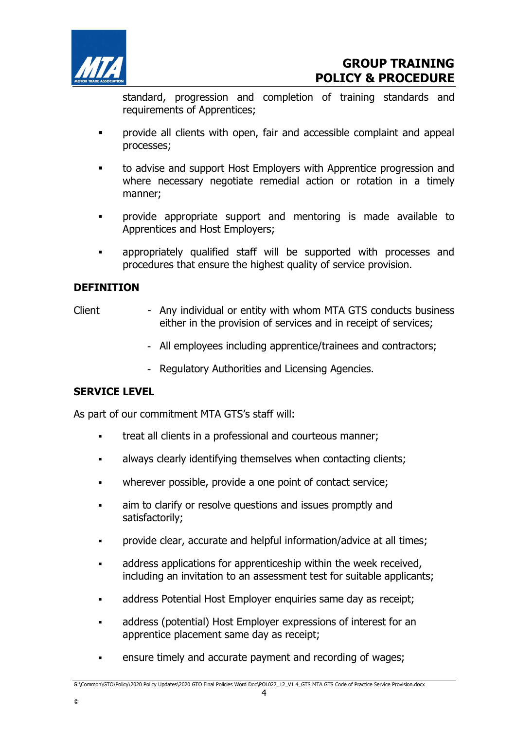

standard, progression and completion of training standards and requirements of Apprentices;

- provide all clients with open, fair and accessible complaint and appeal processes;
- to advise and support Host Employers with Apprentice progression and where necessary negotiate remedial action or rotation in a timely manner;
- provide appropriate support and mentoring is made available to Apprentices and Host Employers;
- appropriately qualified staff will be supported with processes and procedures that ensure the highest quality of service provision.

## **DEFINITION**

- Client Any individual or entity with whom MTA GTS conducts business either in the provision of services and in receipt of services;
	- All employees including apprentice/trainees and contractors;
	- Regulatory Authorities and Licensing Agencies.

#### SERVICE LEVEL

©

As part of our commitment MTA GTS's staff will:

- **treat all clients in a professional and courteous manner;**
- always clearly identifying themselves when contacting clients;
- wherever possible, provide a one point of contact service;
- aim to clarify or resolve questions and issues promptly and satisfactorily;
- provide clear, accurate and helpful information/advice at all times;
- address applications for apprenticeship within the week received, including an invitation to an assessment test for suitable applicants;
- address Potential Host Employer enquiries same day as receipt;
- address (potential) Host Employer expressions of interest for an apprentice placement same day as receipt;
- ensure timely and accurate payment and recording of wages;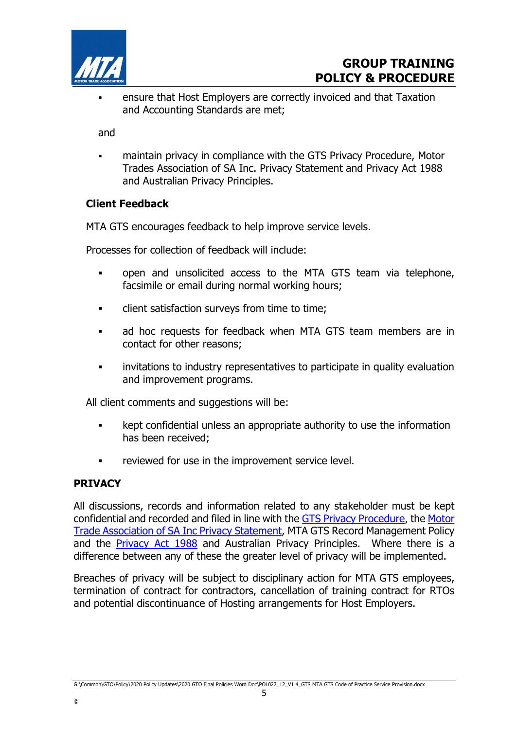

 ensure that Host Employers are correctly invoiced and that Taxation and Accounting Standards are met;

and

 maintain privacy in compliance with the GTS Privacy Procedure, Motor Trades Association of SA Inc. Privacy Statement and Privacy Act 1988 and Australian Privacy Principles.

#### Client Feedback

MTA GTS encourages feedback to help improve service levels.

Processes for collection of feedback will include:

- open and unsolicited access to the MTA GTS team via telephone, facsimile or email during normal working hours;
- client satisfaction surveys from time to time;
- ad hoc requests for feedback when MTA GTS team members are in contact for other reasons;
- invitations to industry representatives to participate in quality evaluation and improvement programs.

All client comments and suggestions will be:

- **EXECT** kept confidential unless an appropriate authority to use the information has been received;
- reviewed for use in the improvement service level.

#### PRIVACY

©

All discussions, records and information related to any stakeholder must be kept confidential and recorded and filed in line with the GTS Privacy Procedure, the Motor Trade Association of SA Inc Privacy Statement, MTA GTS Record Management Policy and the **Privacy Act 1988** and Australian Privacy Principles. Where there is a difference between any of these the greater level of privacy will be implemented.

Breaches of privacy will be subject to disciplinary action for MTA GTS employees, termination of contract for contractors, cancellation of training contract for RTOs and potential discontinuance of Hosting arrangements for Host Employers.